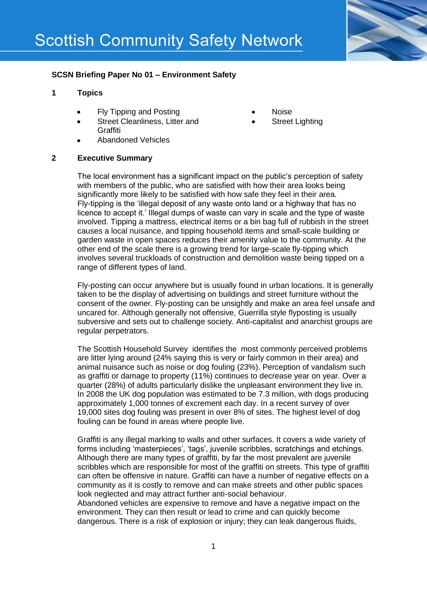

# **SCSN Briefing Paper No 01 – Environment Safety**

## **1 Topics**

- Fly Tipping and Posting
- Street Cleanliness, Litter and **Graffiti**
- Abandoned Vehicles
- Noise
- Street Lighting

## **2 Executive Summary**

The local environment has a significant impact on the public's perception of safety with members of the public, who are satisfied with how their area looks being significantly more likely to be satisfied with how safe they feel in their area. Fly-tipping is the 'illegal deposit of any waste onto land or a highway that has no licence to accept it.' Illegal dumps of waste can vary in scale and the type of waste involved. Tipping a mattress, electrical items or a bin bag full of rubbish in the street causes a local nuisance, and tipping household items and small-scale building or garden waste in open spaces reduces their amenity value to the community. At the other end of the scale there is a growing trend for large-scale fly-tipping which involves several truckloads of construction and demolition waste being tipped on a range of different types of land.

Fly-posting can occur anywhere but is usually found in urban locations. It is generally taken to be the display of advertising on buildings and street furniture without the consent of the owner. Fly-posting can be unsightly and make an area feel unsafe and uncared for. Although generally not offensive, Guerrilla style flyposting is usually subversive and sets out to challenge society. Anti-capitalist and anarchist groups are regular perpetrators.

The Scottish Household Survey identifies the most commonly perceived problems are litter lying around (24% saying this is very or fairly common in their area) and animal nuisance such as noise or dog fouling (23%). Perception of vandalism such as graffiti or damage to property (11%) continues to decrease year on year. Over a quarter (28%) of adults particularly dislike the unpleasant environment they live in. In 2008 the UK dog population was estimated to be 7.3 million, with dogs producing approximately 1,000 tonnes of excrement each day. In a recent survey of over 19,000 sites dog fouling was present in over 8% of sites. The highest level of dog fouling can be found in areas where people live.

Graffiti is any illegal marking to walls and other surfaces. It covers a wide variety of forms including 'masterpieces', 'tags', juvenile scribbles, scratchings and etchings. Although there are many types of graffiti, by far the most prevalent are juvenile scribbles which are responsible for most of the graffiti on streets. This type of graffiti can often be offensive in nature. Graffiti can have a number of negative effects on a community as it is costly to remove and can make streets and other public spaces look neglected and may attract further anti-social behaviour.

Abandoned vehicles are expensive to remove and have a negative impact on the environment. They can then result or lead to crime and can quickly become dangerous. There is a risk of explosion or injury; they can leak dangerous fluids,